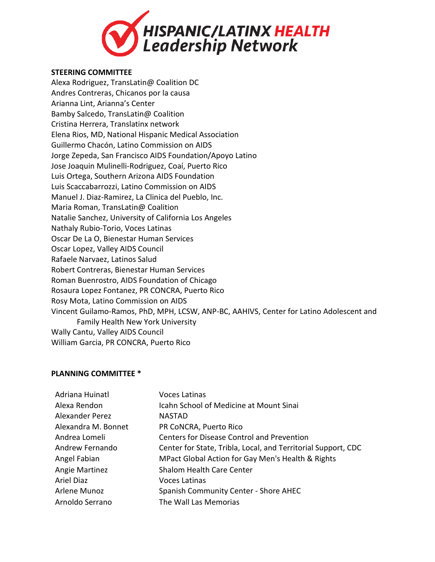

## **STEERING COMMITTEE**

Alexa Rodriguez, TransLatin@ Coalition DC Andres Contreras, Chicanos por la causa Arianna Lint, Arianna's Center Bamby Salcedo, TransLatin@ Coalition Cristina Herrera, Translatinx network Elena Rios, MD, National Hispanic Medical Association Guillermo Chacón, Latino Commission on AIDS Jorge Zepeda, San Francisco AIDS Foundation/Apoyo Latino Jose Joaquin Mulinelli-Rodriguez, Coaí, Puerto Rico Luis Ortega, Southern Arizona AIDS Foundation Luis Scaccabarrozzi, Latino Commission on AIDS Manuel J. Diaz-Ramirez, La Clinica del Pueblo, Inc. Maria Roman, TransLatin@ Coalition Natalie Sanchez, University of California Los Angeles Nathaly Rubio-Torio, Voces Latinas Oscar De La O, Bienestar Human Services Oscar Lopez, Valley AIDS Council Rafaele Narvaez, Latinos Salud Robert Contreras, Bienestar Human Services Roman Buenrostro, AIDS Foundation of Chicago Rosaura Lopez Fontanez, PR CONCRA, Puerto Rico Rosy Mota, Latino Commission on AIDS Vincent Guilamo-Ramos, PhD, MPH, LCSW, ANP-BC, AAHIVS, Center for Latino Adolescent and Family Health New York University Wally Cantu, Valley AIDS Council

## William Garcia, PR CONCRA, Puerto Rico

## **PLANNING COMMITTEE \***

| <b>Voces Latinas</b>                                          |
|---------------------------------------------------------------|
| Icahn School of Medicine at Mount Sinai                       |
| <b>NASTAD</b>                                                 |
| PR CoNCRA, Puerto Rico                                        |
| <b>Centers for Disease Control and Prevention</b>             |
| Center for State, Tribla, Local, and Territorial Support, CDC |
| MPact Global Action for Gay Men's Health & Rights             |
| <b>Shalom Health Care Center</b>                              |
| <b>Voces Latinas</b>                                          |
| Spanish Community Center - Shore AHEC                         |
| The Wall Las Memorias                                         |
|                                                               |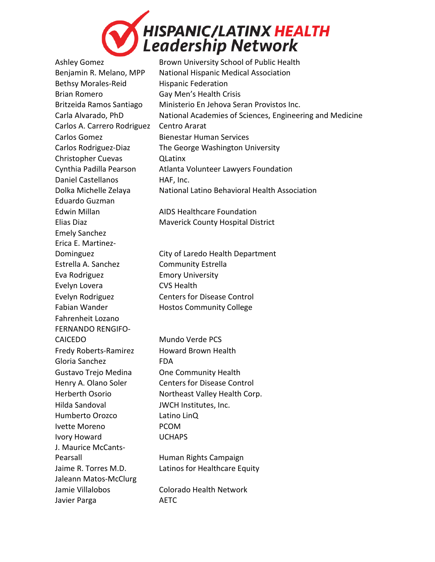

Bethsy Morales-Reid Hispanic Federation Brian Romero Gay Men's Health Crisis Carlos A. Carrero Rodriguez Centro Ararat Carlos Gomez Bienestar Human Services Christopher Cuevas QLatinx Daniel Castellanos HAF, Inc. Eduardo Guzman Emely Sanchez Erica E. Martinez-Estrella A. Sanchez Community Estrella Eva Rodriguez Emory University Evelyn Lovera CVS Health Fahrenheit Lozano FERNANDO RENGIFO-CAICEDO Mundo Verde PCS Fredy Roberts-Ramirez Howard Brown Health Gloria Sanchez **FDA** Gustavo Trejo Medina One Community Health Hilda Sandoval JWCH Institutes, Inc. Humberto Orozco Latino LinQ Ivette Moreno PCOM Ivory Howard UCHAPS J. Maurice McCants-Pearsall **Human Rights Campaign** Jaleann Matos-McClurg Jamie Villalobos Colorado Health Network Javier Parga **AETC** 

Ashley Gomez **Brown University School of Public Health** Benjamin R. Melano, MPP National Hispanic Medical Association Britzeida Ramos Santiago Ministerio En Jehova Seran Provistos Inc. Carla Alvarado, PhD National Academies of Sciences, Engineering and Medicine Carlos Rodriguez-Diaz The George Washington University Cynthia Padilla Pearson Atlanta Volunteer Lawyers Foundation Dolka Michelle Zelaya National Latino Behavioral Health Association

Edwin Millan **AIDS** Healthcare Foundation Elias Diaz Maverick County Hospital District

Dominguez **City of Laredo Health Department** Evelyn Rodriguez Centers for Disease Control Fabian Wander **Hostos Community College** 

Henry A. Olano Soler Centers for Disease Control Herberth Osorio Northeast Valley Health Corp.

Jaime R. Torres M.D. Latinos for Healthcare Equity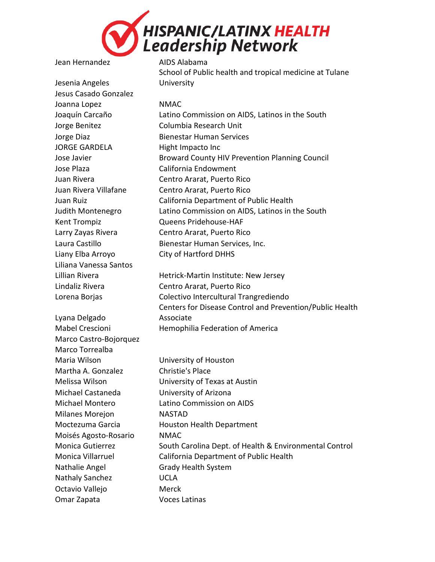

Jean Hernandez AIDS Alabama

Jesenia Angeles Jesus Casado Gonzalez Joanna Lopez NMAC JORGE GARDELA Hight Impacto Inc Jose Plaza California Endowment Liany Elba Arroyo City of Hartford DHHS Liliana Vanessa Santos

Lyana Delgado Marco Castro-Bojorquez Marco Torrealba Maria Wilson University of Houston Martha A. Gonzalez Christie's Place Michael Castaneda University of Arizona Milanes Morejon NASTAD Moisés Agosto-Rosario NMAC Nathalie Angel Grady Health System Nathaly Sanchez UCLA Octavio Vallejo **Merck** Omar Zapata Voces Latinas

University

Joaquín Carcaño Latino Commission on AIDS, Latinos in the South Jorge Benitez Columbia Research Unit Jorge Diaz **Bienestar Human Services** Jose Javier Broward County HIV Prevention Planning Council Juan Rivera Centro Ararat, Puerto Rico Juan Rivera Villafane Centro Ararat, Puerto Rico Juan Ruiz California Department of Public Health Judith Montenegro Latino Commission on AIDS, Latinos in the South Kent Trompiz Queens Pridehouse-HAF Larry Zayas Rivera Centro Ararat, Puerto Rico Laura Castillo Bienestar Human Services, Inc.

School of Public health and tropical medicine at Tulane

Lillian Rivera **Hetrick-Martin Institute: New Jersey** Lindaliz Rivera Centro Ararat, Puerto Rico Lorena Borjas Colectivo Intercultural Trangrediendo Centers for Disease Control and Prevention/Public Health Associate Mabel Crescioni Hemophilia Federation of America

Melissa Wilson University of Texas at Austin Michael Montero Latino Commission on AIDS Moctezuma Garcia **Houston Health Department** Monica Gutierrez South Carolina Dept. of Health & Environmental Control Monica Villarruel California Department of Public Health